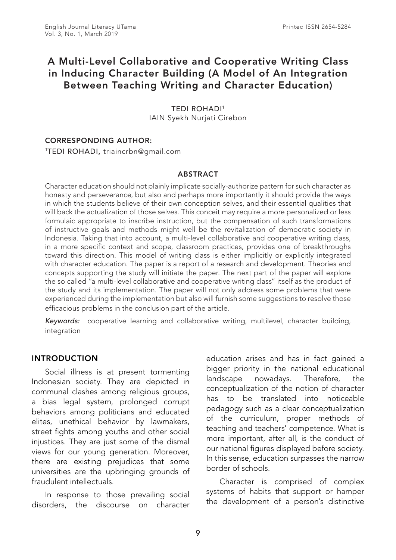# A Multi-Level Collaborative and Cooperative Writing Class in Inducing Character Building (A Model of An Integration Between Teaching Writing and Character Education)

TEDI ROHADI1 IAIN Syekh Nurjati Cirebon

#### CORRESPONDING AUTHOR:

1TEDI ROHADI, triaincrbn@gmail.com

#### **ABSTRACT**

Character education should not plainly implicate socially-authorize pattern for such character as honesty and perseverance, but also and perhaps more importantly it should provide the ways in which the students believe of their own conception selves, and their essential qualities that will back the actualization of those selves. This conceit may require a more personalized or less formulaic appropriate to inscribe instruction, but the compensation of such transformations of instructive goals and methods might well be the revitalization of democratic society in Indonesia. Taking that into account, a multi-level collaborative and cooperative writing class, in a more specific context and scope, classroom practices, provides one of breakthroughs toward this direction. This model of writing class is either implicitly or explicitly integrated with character education. The paper is a report of a research and development. Theories and concepts supporting the study will initiate the paper. The next part of the paper will explore the so called "a multi-level collaborative and cooperative writing class" itself as the product of the study and its implementation. The paper will not only address some problems that were experienced during the implementation but also will furnish some suggestions to resolve those efficacious problems in the conclusion part of the article.

*Keywords:* cooperative learning and collaborative writing, multilevel, character building, integration

#### INTRODUCTION

Social illness is at present tormenting Indonesian society. They are depicted in communal clashes among religious groups, a bias legal system, prolonged corrupt behaviors among politicians and educated elites, unethical behavior by lawmakers, street fights among youths and other social injustices. They are just some of the dismal views for our young generation. Moreover, there are existing prejudices that some universities are the upbringing grounds of fraudulent intellectuals.

In response to those prevailing social disorders, the discourse on character

education arises and has in fact gained a bigger priority in the national educational landscape nowadays. Therefore, the conceptualization of the notion of character has to be translated into noticeable pedagogy such as a clear conceptualization of the curriculum, proper methods of teaching and teachers' competence. What is more important, after all, is the conduct of our national figures displayed before society. In this sense, education surpasses the narrow border of schools.

Character is comprised of complex systems of habits that support or hamper the development of a person's distinctive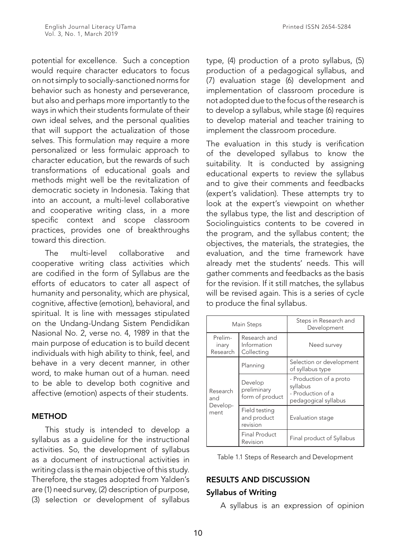potential for excellence. Such a conception would require character educators to focus on not simply to socially-sanctioned norms for behavior such as honesty and perseverance, but also and perhaps more importantly to the ways in which their students formulate of their own ideal selves, and the personal qualities that will support the actualization of those selves. This formulation may require a more personalized or less formulaic approach to character education, but the rewards of such transformations of educational goals and methods might well be the revitalization of democratic society in Indonesia. Taking that into an account, a multi-level collaborative and cooperative writing class, in a more specific context and scope classroom practices, provides one of breakthroughs toward this direction.

The multi-level collaborative and cooperative writing class activities which are codified in the form of Syllabus are the efforts of educators to cater all aspect of humanity and personality, which are physical, cognitive, affective (emotion), behavioral, and spiritual. It is line with messages stipulated on the Undang-Undang Sistem Pendidikan Nasional No. 2, verse no. 4, 1989 in that the main purpose of education is to build decent individuals with high ability to think, feel, and behave in a very decent manner, in other word, to make human out of a human. need to be able to develop both cognitive and affective (emotion) aspects of their students.

## METHOD

This study is intended to develop a syllabus as a guideline for the instructional activities. So, the development of syllabus as a document of instructional activities in writing class is the main objective of this study. Therefore, the stages adopted from Yalden's are (1) need survey, (2) description of purpose, (3) selection or development of syllabus

type, (4) production of a proto syllabus, (5) production of a pedagogical syllabus, and (7) evaluation stage (6) development and implementation of classroom procedure is not adopted due to the focus of the research is to develop a syllabus, while stage (6) requires to develop material and teacher training to implement the classroom procedure.

The evaluation in this study is verification of the developed syllabus to know the suitability. It is conducted by assigning educational experts to review the syllabus and to give their comments and feedbacks (expert's validation). These attempts try to look at the expert's viewpoint on whether the syllabus type, the list and description of Sociolinguistics contents to be covered in the program, and the syllabus content; the objectives, the materials, the strategies, the evaluation, and the time framework have already met the students' needs. This will gather comments and feedbacks as the basis for the revision. If it still matches, the syllabus will be revised again. This is a series of cycle to produce the final syllabus.

| Main Steps                          |                                           | Steps in Research and<br>Development                                             |
|-------------------------------------|-------------------------------------------|----------------------------------------------------------------------------------|
| Prelim-<br>inary<br>Research        | Research and<br>Information<br>Collecting | Need survey                                                                      |
| Research<br>and<br>Develop-<br>ment | Planning                                  | Selection or development<br>of syllabus type                                     |
|                                     | Develop<br>preliminary<br>form of product | - Production of a proto<br>syllabus<br>- Production of a<br>pedagogical syllabus |
|                                     | Field testing<br>and product<br>revision  | Evaluation stage                                                                 |
|                                     | <b>Final Product</b><br>Revision          | Final product of Syllabus                                                        |

Table 1.1 Steps of Research and Development

# RESULTS AND DISCUSSION

## Syllabus of Writing

A syllabus is an expression of opinion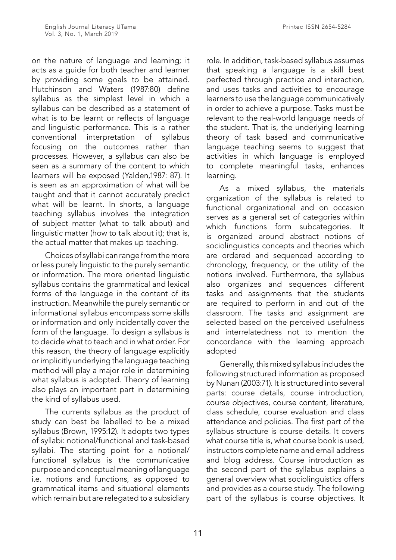on the nature of language and learning; it acts as a guide for both teacher and learner by providing some goals to be attained. Hutchinson and Waters (1987:80) define syllabus as the simplest level in which a syllabus can be described as a statement of what is to be learnt or reflects of language and linguistic performance. This is a rather conventional interpretation of syllabus focusing on the outcomes rather than processes. However, a syllabus can also be seen as a summary of the content to which learners will be exposed (Yalden,1987: 87). It is seen as an approximation of what will be taught and that it cannot accurately predict what will be learnt. In shorts, a language teaching syllabus involves the integration of subject matter (what to talk about) and linguistic matter (how to talk about it); that is, the actual matter that makes up teaching.

Choices of syllabi can range from the more or less purely linguistic to the purely semantic or information. The more oriented linguistic syllabus contains the grammatical and lexical forms of the language in the content of its instruction. Meanwhile the purely semantic or informational syllabus encompass some skills or information and only incidentally cover the form of the language. To design a syllabus is to decide what to teach and in what order. For this reason, the theory of language explicitly or implicitly underlying the language teaching method will play a major role in determining what syllabus is adopted. Theory of learning also plays an important part in determining the kind of syllabus used.

The currents syllabus as the product of study can best be labelled to be a mixed syllabus (Brown, 1995:12). It adopts two types of syllabi: notional/functional and task-based syllabi. The starting point for a notional/ functional syllabus is the communicative purpose and conceptual meaning of language i.e. notions and functions, as opposed to grammatical items and situational elements which remain but are relegated to a subsidiary role. In addition, task-based syllabus assumes that speaking a language is a skill best perfected through practice and interaction, and uses tasks and activities to encourage learners to use the language communicatively in order to achieve a purpose. Tasks must be relevant to the real-world language needs of the student. That is, the underlying learning theory of task based and communicative language teaching seems to suggest that activities in which language is employed to complete meaningful tasks, enhances learning.

As a mixed syllabus, the materials organization of the syllabus is related to functional organizational and on occasion serves as a general set of categories within which functions form subcategories. It is organized around abstract notions of sociolinguistics concepts and theories which are ordered and sequenced according to chronology, frequency, or the utility of the notions involved. Furthermore, the syllabus also organizes and sequences different tasks and assignments that the students are required to perform in and out of the classroom. The tasks and assignment are selected based on the perceived usefulness and interrelatedness not to mention the concordance with the learning approach adopted

Generally, this mixed syllabus includes the following structured information as proposed by Nunan (2003:71). It is structured into several parts: course details, course introduction, course objectives, course content, literature, class schedule, course evaluation and class attendance and policies. The first part of the syllabus structure is course details. It covers what course title is, what course book is used, instructors complete name and email address and blog address. Course introduction as the second part of the syllabus explains a general overview what sociolinguistics offers and provides as a course study. The following part of the syllabus is course objectives. It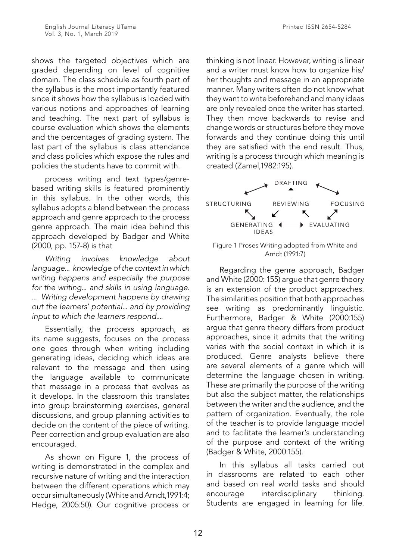shows the targeted objectives which are graded depending on level of cognitive domain. The class schedule as fourth part of the syllabus is the most importantly featured since it shows how the syllabus is loaded with various notions and approaches of learning and teaching. The next part of syllabus is course evaluation which shows the elements and the percentages of grading system. The last part of the syllabus is class attendance and class policies which expose the rules and policies the students have to commit with.

process writing and text types/genrebased writing skills is featured prominently in this syllabus. In the other words, this syllabus adopts a blend between the process approach and genre approach to the process genre approach. The main idea behind this approach developed by Badger and White (2000, pp. 157-8) is that

*Writing involves knowledge about language... knowledge of the context in which writing happens and especially the purpose for the writing... and skills in using language. ... Writing development happens by drawing out the learners' potential... and by providing input to which the learners respond....* 

Essentially, the process approach, as its name suggests, focuses on the process one goes through when writing including generating ideas, deciding which ideas are relevant to the message and then using the language available to communicate that message in a process that evolves as it develops. In the classroom this translates into group brainstorming exercises, general discussions, and group planning activities to decide on the content of the piece of writing. Peer correction and group evaluation are also encouraged.

As shown on Figure 1, the process of writing is demonstrated in the complex and recursive nature of writing and the interaction between the different operations which may occur simultaneously (White and Arndt,1991:4; Hedge, 2005:50). Our cognitive process or

thinking is not linear. However, writing is linear and a writer must know how to organize his/ her thoughts and message in an appropriate manner. Many writers often do not know what they want to write beforehand and many ideas are only revealed once the writer has started. They then move backwards to revise and change words or structures before they move forwards and they continue doing this until they are satisfied with the end result. Thus, writing is a process through which meaning is created (Zamel,1982:195).



Figure 1 Proses Writing adopted from White and Arndt (1991:7)

Regarding the genre approach, Badger and White (2000: 155) argue that genre theory is an extension of the product approaches. The similarities position that both approaches see writing as predominantly linguistic. Furthermore, Badger & White (2000:155) argue that genre theory differs from product approaches, since it admits that the writing varies with the social context in which it is produced. Genre analysts believe there are several elements of a genre which will determine the language chosen in writing. These are primarily the purpose of the writing but also the subject matter, the relationships between the writer and the audience, and the pattern of organization. Eventually, the role of the teacher is to provide language model and to facilitate the learner's understanding of the purpose and context of the writing (Badger & White, 2000:155).

In this syllabus all tasks carried out in classrooms are related to each other and based on real world tasks and should encourage interdisciplinary thinking. Students are engaged in learning for life.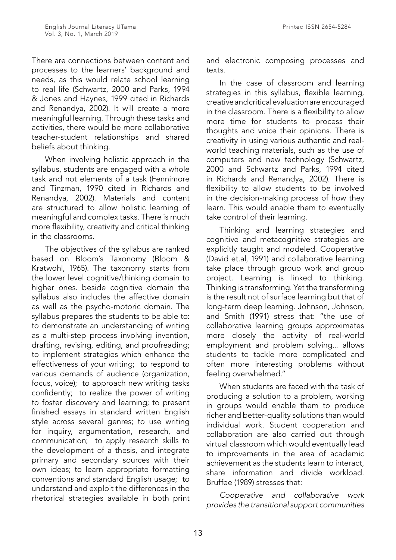There are connections between content and processes to the learners' background and needs, as this would relate school learning to real life (Schwartz, 2000 and Parks, 1994 & Jones and Haynes, 1999 cited in Richards and Renandya, 2002). It will create a more meaningful learning. Through these tasks and activities, there would be more collaborative teacher-student relationships and shared beliefs about thinking.

When involving holistic approach in the syllabus, students are engaged with a whole task and not elements of a task (Fennimore and Tinzman, 1990 cited in Richards and Renandya, 2002). Materials and content are structured to allow holistic learning of meaningful and complex tasks. There is much more flexibility, creativity and critical thinking in the classrooms.

The objectives of the syllabus are ranked based on Bloom's Taxonomy (Bloom & Kratwohl, 1965). The taxonomy starts from the lower level cognitive/thinking domain to higher ones. beside cognitive domain the syllabus also includes the affective domain as well as the psycho-motoric domain. The syllabus prepares the students to be able to: to demonstrate an understanding of writing as a multi-step process involving invention, drafting, revising, editing, and proofreading; to implement strategies which enhance the effectiveness of your writing; to respond to various demands of audience (organization, focus, voice); to approach new writing tasks confidently; to realize the power of writing to foster discovery and learning; to present finished essays in standard written English style across several genres; to use writing for inquiry, argumentation, research, and communication; to apply research skills to the development of a thesis, and integrate primary and secondary sources with their own ideas; to learn appropriate formatting conventions and standard English usage; to understand and exploit the differences in the rhetorical strategies available in both print

and electronic composing processes and texts.

In the case of classroom and learning strategies in this syllabus, flexible learning, creative and critical evaluation are encouraged in the classroom. There is a flexibility to allow more time for students to process their thoughts and voice their opinions. There is creativity in using various authentic and realworld teaching materials, such as the use of computers and new technology (Schwartz, 2000 and Schwartz and Parks, 1994 cited in Richards and Renandya, 2002). There is flexibility to allow students to be involved in the decision-making process of how they learn. This would enable them to eventually take control of their learning.

Thinking and learning strategies and cognitive and metacognitive strategies are explicitly taught and modeled. Cooperative (David et.al, 1991) and collaborative learning take place through group work and group project. Learning is linked to thinking. Thinking is transforming. Yet the transforming is the result not of surface learning but that of long-term deep learning. Johnson, Johnson, and Smith (1991) stress that: "the use of collaborative learning groups approximates more closely the activity of real-world employment and problem solving... allows students to tackle more complicated and often more interesting problems without feeling overwhelmed."

When students are faced with the task of producing a solution to a problem, working in groups would enable them to produce richer and better-quality solutions than would individual work. Student cooperation and collaboration are also carried out through virtual classroom which would eventually lead to improvements in the area of academic achievement as the students learn to interact share information and divide workload. Bruffee (1989) stresses that:

*Cooperative and collaborative work provides the transitional support communities*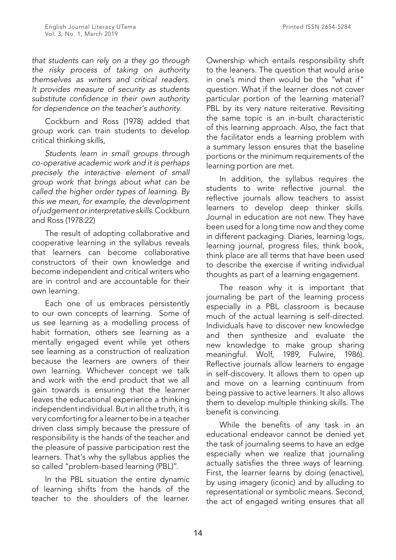*that students can rely on a they go through the risky process of taking on authority themselves as writers and critical readers. It provides measure of security as students substitute confidence in their own authority for dependence on the teacher's authority.*

Cockburn and Ross (1978) added that group work can train students to develop critical thinking skills,

*Students learn in small groups through co-operative academic work and it is perhaps precisely the interactive element of small group work that brings about what can be called the higher order types of learning. By this we mean, for example, the development of judgement or interpretative skills*. Cockburn and Ross (1978:22)

The result of adopting collaborative and cooperative learning in the syllabus reveals that learners can become collaborative constructors of their own knowledge and become independent and critical writers who are in control and are accountable for their own learning.

Each one of us embraces persistently to our own concepts of learning. Some of us see learning as a modelling process of habit formation, others see learning as a mentally engaged event while yet others see learning as a construction of realization because the learners are owners of their own learning. Whichever concept we talk and work with the end product that we all gain towards is ensuring that the learner leaves the educational experience a thinking independent individual. But in all the truth, it is very comforting for a learner to be in a teacher driven class simply because the pressure of responsibility is the hands of the teacher and the pleasure of passive participation rest the learners. That's why the syllabus applies the so called "problem-based learning (PBL)".

In the PBL situation the entire dynamic of learning shifts from the hands of the teacher to the shoulders of the learner. Ownership which entails responsibility shift to the leaners. The question that would arise in one's mind then would be the "what if" question. What if the learner does not cover particular portion of the learning material? PBL by its very nature reiterative. Revisiting the same topic is an in-built characteristic of this learning approach. Also, the fact that the facilitator ends a learning problem with a summary lesson ensures that the baseline portions or the minimum requirements of the learning portion are met.

In addition, the syllabus requires the students to write reflective journal. the reflective journals allow teachers to assist learners to develop deep thinker skills. Journal in education are not new. They have been used for a long time now and they come in different packaging. Diaries, learning logs, learning journal, progress files, think book, think place are all terms that have been used to describe the exercise if writing individual thoughts as part of a learning engagement.

The reason why it is important that journaling be part of the learning process especially in a PBL classroom is because much of the actual learning is self-directed. Individuals have to discover new knowledge and then synthesize and evaluate the new knowledge to make group sharing meaningful. Wolf, 1989, Fulwire, 1986). Reflective journals allow learners to engage in self-discovery. It allows them to open up and move on a learning continuum from being passive to active learners. It also allows them to develop multiple thinking skills. The benefit is convincing.

While the benefits of any task in an educational endeavor cannot be denied yet the task of journaling seems to have an edge especially when we realize that journaling actually satisfies the three ways of learning. First, the learner learns by doing (enactive), by using imagery (iconic) and by alluding to representational or symbolic means. Second, the act of engaged writing ensures that all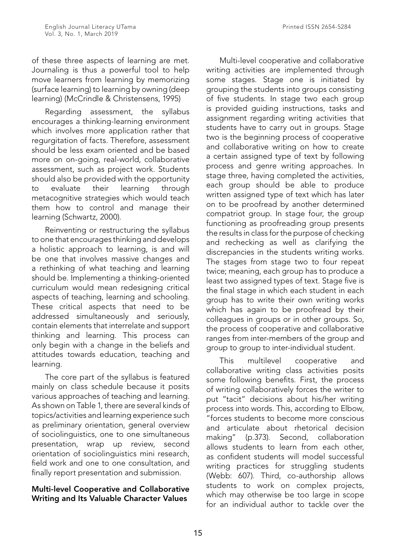of these three aspects of learning are met. Journaling is thus a powerful tool to help move learners from learning by memorizing (surface learning) to learning by owning (deep learning) (McCrindle & Christensens, 1995)

Regarding assessment, the syllabus encourages a thinking-learning environment which involves more application rather that regurgitation of facts. Therefore, assessment should be less exam oriented and be based more on on-going, real-world, collaborative assessment, such as project work. Students should also be provided with the opportunity to evaluate their learning through metacognitive strategies which would teach them how to control and manage their learning (Schwartz, 2000).

Reinventing or restructuring the syllabus to one that encourages thinking and develops a holistic approach to learning, is and will be one that involves massive changes and a rethinking of what teaching and learning should be. Implementing a thinking-oriented curriculum would mean redesigning critical aspects of teaching, learning and schooling. These critical aspects that need to be addressed simultaneously and seriously, contain elements that interrelate and support thinking and learning. This process can only begin with a change in the beliefs and attitudes towards education, teaching and learning.

The core part of the syllabus is featured mainly on class schedule because it posits various approaches of teaching and learning. As shown on Table 1, there are several kinds of topics/activities and learning experience such as preliminary orientation, general overview of sociolinguistics, one to one simultaneous presentation, wrap up review, second orientation of sociolinguistics mini research, field work and one to one consultation, and finally report presentation and submission.

#### Multi-level Cooperative and Collaborative Writing and Its Valuable Character Values

Multi-level cooperative and collaborative writing activities are implemented through some stages. Stage one is initiated by grouping the students into groups consisting of five students. In stage two each group is provided guiding instructions, tasks and assignment regarding writing activities that students have to carry out in groups. Stage two is the beginning process of cooperative and collaborative writing on how to create a certain assigned type of text by following process and genre writing approaches. In stage three, having completed the activities, each group should be able to produce written assigned type of text which has later on to be proofread by another determined compatriot group. In stage four, the group functioning as proofreading group presents the results in class for the purpose of checking and rechecking as well as clarifying the discrepancies in the students writing works. The stages from stage two to four repeat twice; meaning, each group has to produce a least two assigned types of text. Stage five is the final stage in which each student in each group has to write their own writing works which has again to be proofread by their colleagues in groups or in other groups. So, the process of cooperative and collaborative ranges from inter-members of the group and group to group to inter-individual student.

This multilevel cooperative and collaborative writing class activities posits some following benefits. First, the process of writing collaboratively forces the writer to put "tacit" decisions about his/her writing process into words. This, according to Elbow, "forces students to become more conscious and articulate about rhetorical decision making" (p.373). Second, collaboration allows students to learn from each other, as confident students will model successful writing practices for struggling students (Webb: 607). Third, co-authorship allows students to work on complex projects, which may otherwise be too large in scope for an individual author to tackle over the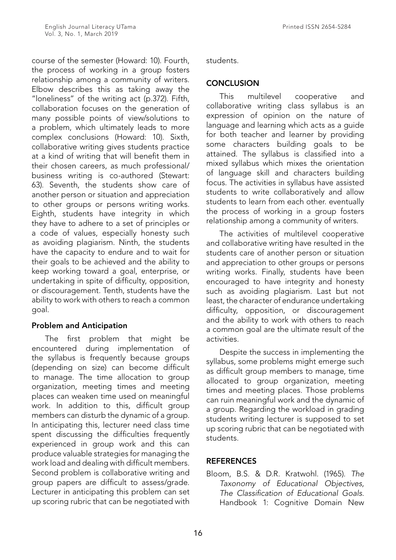course of the semester (Howard: 10). Fourth, the process of working in a group fosters relationship among a community of writers. Elbow describes this as taking away the "loneliness" of the writing act (p.372). Fifth, collaboration focuses on the generation of many possible points of view/solutions to a problem, which ultimately leads to more complex conclusions (Howard: 10). Sixth, collaborative writing gives students practice at a kind of writing that will benefit them in their chosen careers, as much professional/ business writing is co-authored (Stewart: 63). Seventh, the students show care of another person or situation and appreciation to other groups or persons writing works. Eighth, students have integrity in which they have to adhere to a set of principles or a code of values, especially honesty such as avoiding plagiarism. Ninth, the students have the capacity to endure and to wait for their goals to be achieved and the ability to keep working toward a goal, enterprise, or undertaking in spite of difficulty, opposition, or discouragement. Tenth, students have the ability to work with others to reach a common goal.

## Problem and Anticipation

The first problem that might be encountered during implementation of the syllabus is frequently because groups (depending on size) can become difficult to manage. The time allocation to group organization, meeting times and meeting places can weaken time used on meaningful work. In addition to this, difficult group members can disturb the dynamic of a group. In anticipating this, lecturer need class time spent discussing the difficulties frequently experienced in group work and this can produce valuable strategies for managing the work load and dealing with difficult members. Second problem is collaborative writing and group papers are difficult to assess/grade. Lecturer in anticipating this problem can set up scoring rubric that can be negotiated with

students.

## **CONCLUSION**

This multilevel cooperative and collaborative writing class syllabus is an expression of opinion on the nature of language and learning which acts as a guide for both teacher and learner by providing some characters building goals to be attained. The syllabus is classified into a mixed syllabus which mixes the orientation of language skill and characters building focus. The activities in syllabus have assisted students to write collaboratively and allow students to learn from each other. eventually the process of working in a group fosters relationship among a community of writers.

The activities of multilevel cooperative and collaborative writing have resulted in the students care of another person or situation and appreciation to other groups or persons writing works. Finally, students have been encouraged to have integrity and honesty such as avoiding plagiarism. Last but not least, the character of endurance undertaking difficulty, opposition, or discouragement and the ability to work with others to reach a common goal are the ultimate result of the activities.

Despite the success in implementing the syllabus, some problems might emerge such as difficult group members to manage, time allocated to group organization, meeting times and meeting places. Those problems can ruin meaningful work and the dynamic of a group. Regarding the workload in grading students writing lecturer is supposed to set up scoring rubric that can be negotiated with students.

# **REFERENCES**

Bloom, B.S. & D.R. Kratwohl. (1965). *The Taxonomy of Educational Objectives, The Classification of Educational Goals.* Handbook 1: Cognitive Domain New